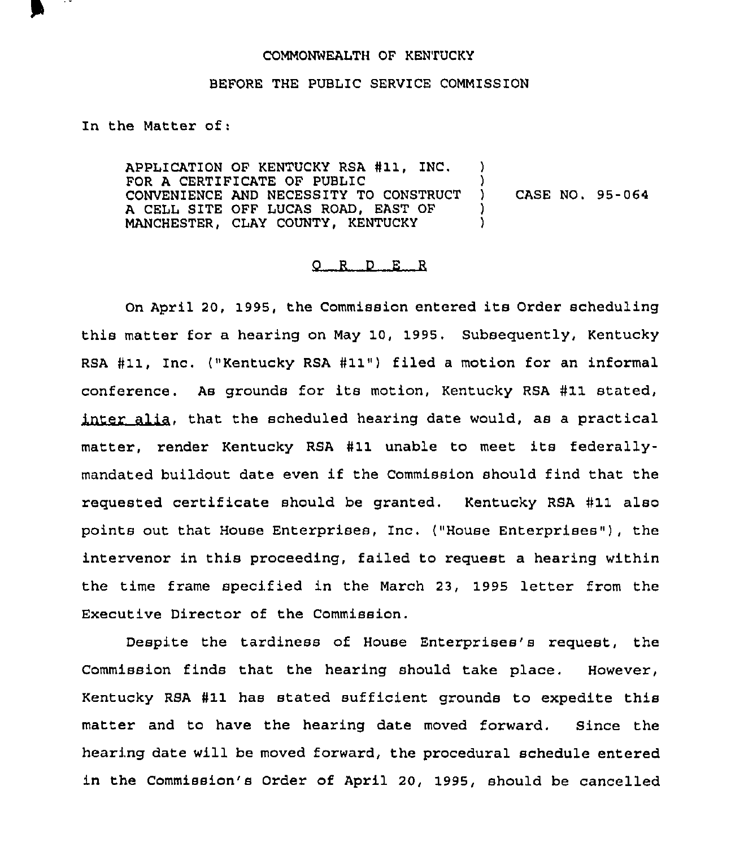## COMMONWEALTH OF KENTUCKY

## BEFORE THE PUBLIC SERVICE COMMISSION

In the Matter of:

APPLICATION OF KENTUCKY RSA #11, INC. FOR A CERTIFICATE OF PUBLIC CONVENIENCE AND NECESSITY TO CONSTRUCT A CELL SITE OFF LUCAS ROAD, EAST OF MANCHESTER, CLAY COUNTY, KENTUCKY )  $\lambda$ ) CASE NO. 95-064 ) )

## 0 <sup>R</sup> <sup>D</sup> E <sup>R</sup>

On April 20, 1995, the Commission entered its Order scheduling this matter for a hearing on May 10, 1995. Subsequently, Kentucky RSA #11, Inc. ("Kentucky RSA #11") filed a motion for an informal conference. As grounds for its motion, Kentucky RSA #11 stated, inter alia, that the scheduled hearing date would, as a practical matter, render Kentucky RSA #11 unable to meet its federallymandated buildout date even if the Commission should find that the requested certificate should be granted. Kentucky RSA #11 also points out that House Enterprises, Inc. ("House Enterprises" ), the intervenor in this proceeding, failed to request a hearing within the time frame specified in the March 23, 1995 letter from the Executive Director of the Commission.

Despite the tardiness of House Enterprises's request, the Commission finds that the hearing should take place. However, Kentucky RSA #11 has stated sufficient grounds to expedite this matter and to have the hearing date moved forward. Since the hearing date will be moved forward, the procedural schedule entered in the Commission's Order of April 20, 1995, should be cancelled